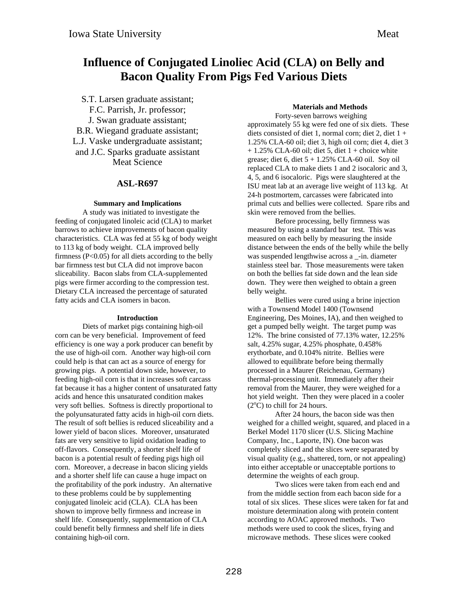# **Influence of Conjugated Linoliec Acid (CLA) on Belly and Bacon Quality From Pigs Fed Various Diets**

S.T. Larsen graduate assistant; F.C. Parrish, Jr. professor; J. Swan graduate assistant; B.R. Wiegand graduate assistant; L.J. Vaske undergraduate assistant; and J.C. Sparks graduate assistant Meat Science

## **ASL-R697**

## **Summary and Implications**

A study was initiated to investigate the feeding of conjugated linoleic acid (CLA) to market barrows to achieve improvements of bacon quality characteristics. CLA was fed at 55 kg of body weight to 113 kg of body weight. CLA improved belly firmness  $(P<0.05)$  for all diets according to the belly bar firmness test but CLA did not improve bacon sliceability. Bacon slabs from CLA-supplemented pigs were firmer according to the compression test. Dietary CLA increased the percentage of saturated fatty acids and CLA isomers in bacon.

### **Introduction**

Diets of market pigs containing high-oil corn can be very beneficial. Improvement of feed efficiency is one way a pork producer can benefit by the use of high-oil corn. Another way high-oil corn could help is that can act as a source of energy for growing pigs. A potential down side, however, to feeding high-oil corn is that it increases soft carcass fat because it has a higher content of unsaturated fatty acids and hence this unsaturated condition makes very soft bellies. Softness is directly proportional to the polyunsaturated fatty acids in high-oil corn diets. The result of soft bellies is reduced sliceability and a lower yield of bacon slices. Moreover, unsaturated fats are very sensitive to lipid oxidation leading to off-flavors. Consequently, a shorter shelf life of bacon is a potential result of feeding pigs high oil corn. Moreover, a decrease in bacon slicing yields and a shorter shelf life can cause a huge impact on the profitability of the pork industry. An alternative to these problems could be by supplementing conjugated linoleic acid (CLA). CLA has been shown to improve belly firmness and increase in shelf life. Consequently, supplementation of CLA could benefit belly firmness and shelf life in diets containing high-oil corn.

# **Materials and Methods**

Forty-seven barrows weighing approximately 55 kg were fed one of six diets. These diets consisted of diet 1, normal corn; diet 2, diet  $1 +$ 1.25% CLA-60 oil; diet 3, high oil corn; diet 4, diet 3  $+ 1.25\%$  CLA-60 oil; diet 5, diet 1 + choice white grease; diet 6, diet  $5 + 1.25\%$  CLA-60 oil. Soy oil replaced CLA to make diets 1 and 2 isocaloric and 3, 4, 5, and 6 isocaloric. Pigs were slaughtered at the ISU meat lab at an average live weight of 113 kg. At 24-h postmortem, carcasses were fabricated into primal cuts and bellies were collected. Spare ribs and skin were removed from the bellies.

Before processing, belly firmness was measured by using a standard bar test. This was measured on each belly by measuring the inside distance between the ends of the belly while the belly was suspended lengthwise across a -in. diameter stainless steel bar. Those measurements were taken on both the bellies fat side down and the lean side down. They were then weighed to obtain a green belly weight.

Bellies were cured using a brine injection with a Townsend Model 1400 (Townsend Engineering, Des Moines, IA), and then weighed to get a pumped belly weight. The target pump was 12%. The brine consisted of 77.13% water, 12.25% salt, 4.25% sugar, 4.25% phosphate, 0.458% erythorbate, and 0.104% nitrite. Bellies were allowed to equilibrate before being thermally processed in a Maurer (Reichenau, Germany) thermal-processing unit. Immediately after their removal from the Maurer, they were weighed for a hot yield weight. Then they were placed in a cooler  $(2^{\circ}C)$  to chill for 24 hours.

After 24 hours, the bacon side was then weighed for a chilled weight, squared, and placed in a Berkel Model 1170 slicer (U.S. Slicing Machine Company, Inc., Laporte, IN). One bacon was completely sliced and the slices were separated by visual quality (e.g., shattered, torn, or not appealing) into either acceptable or unacceptable portions to determine the weights of each group.

Two slices were taken from each end and from the middle section from each bacon side for a total of six slices. These slices were taken for fat and moisture determination along with protein content according to AOAC approved methods. Two methods were used to cook the slices, frying and microwave methods. These slices were cooked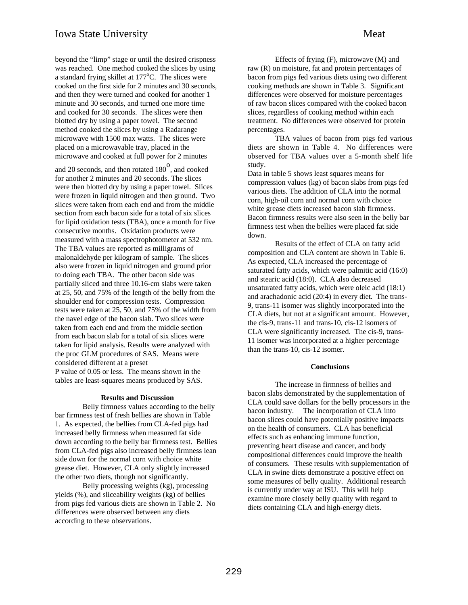beyond the "limp" stage or until the desired crispness was reached. One method cooked the slices by using a standard frying skillet at 177°C. The slices were cooked on the first side for 2 minutes and 30 seconds, and then they were turned and cooked for another 1 minute and 30 seconds, and turned one more time and cooked for 30 seconds. The slices were then blotted dry by using a paper towel. The second method cooked the slices by using a Radarange microwave with 1500 max watts. The slices were placed on a microwavable tray, placed in the microwave and cooked at full power for 2 minutes

and 20 seconds, and then rotated  $180^{\circ}$ , and cooked for another 2 minutes and 20 seconds. The slices were then blotted dry by using a paper towel. Slices were frozen in liquid nitrogen and then ground. Two slices were taken from each end and from the middle section from each bacon side for a total of six slices for lipid oxidation tests (TBA), once a month for five consecutive months. Oxidation products were measured with a mass spectrophotometer at 532 nm. The TBA values are reported as milligrams of malonaldehyde per kilogram of sample. The slices also were frozen in liquid nitrogen and ground prior to doing each TBA. The other bacon side was partially sliced and three 10.16-cm slabs were taken at 25, 50, and 75% of the length of the belly from the shoulder end for compression tests. Compression tests were taken at 25, 50, and 75% of the width from the navel edge of the bacon slab. Two slices were taken from each end and from the middle section from each bacon slab for a total of six slices were taken for lipid analysis. Results were analyzed with the proc GLM procedures of SAS. Means were considered different at a preset

P value of 0.05 or less. The means shown in the tables are least-squares means produced by SAS.

#### **Results and Discussion**

Belly firmness values according to the belly bar firmness test of fresh bellies are shown in Table 1. As expected, the bellies from CLA-fed pigs had increased belly firmness when measured fat side down according to the belly bar firmness test. Bellies from CLA-fed pigs also increased belly firmness lean side down for the normal corn with choice white grease diet. However, CLA only slightly increased the other two diets, though not significantly.

Belly processing weights (kg), processing yields (%), and sliceability weights (kg) of bellies from pigs fed various diets are shown in Table 2. No differences were observed between any diets according to these observations.

Effects of frying (F), microwave (M) and raw (R) on moisture, fat and protein percentages of bacon from pigs fed various diets using two different cooking methods are shown in Table 3. Significant differences were observed for moisture percentages of raw bacon slices compared with the cooked bacon slices, regardless of cooking method within each treatment. No differences were observed for protein percentages.

TBA values of bacon from pigs fed various diets are shown in Table 4. No differences were observed for TBA values over a 5-month shelf life study.

Data in table 5 shows least squares means for compression values (kg) of bacon slabs from pigs fed various diets. The addition of CLA into the normal corn, high-oil corn and normal corn with choice white grease diets increased bacon slab firmness. Bacon firmness results were also seen in the belly bar firmness test when the bellies were placed fat side down.

Results of the effect of CLA on fatty acid composition and CLA content are shown in Table 6. As expected, CLA increased the percentage of saturated fatty acids, which were palmitic acid (16:0) and stearic acid (18:0). CLA also decreased unsaturated fatty acids, which were oleic acid (18:1) and arachadonic acid (20:4) in every diet. The trans-9, trans-11 isomer was slightly incorporated into the CLA diets, but not at a significant amount. However, the cis-9, trans-11 and trans-10, cis-12 isomers of CLA were significantly increased. The cis-9, trans-11 isomer was incorporated at a higher percentage than the trans-10, cis-12 isomer.

#### **Conclusions**

The increase in firmness of bellies and bacon slabs demonstrated by the supplementation of CLA could save dollars for the belly processors in the bacon industry. The incorporation of CLA into bacon slices could have potentially positive impacts on the health of consumers. CLA has beneficial effects such as enhancing immune function, preventing heart disease and cancer, and body compositional differences could improve the health of consumers. These results with supplementation of CLA in swine diets demonstrate a positive effect on some measures of belly quality. Additional research is currently under way at ISU. This will help examine more closely belly quality with regard to diets containing CLA and high-energy diets.

229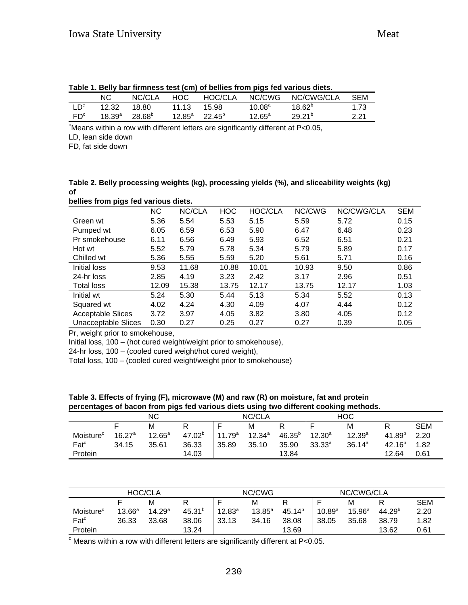|                 | _____           |                      |                  | .               |                    |             |      |
|-----------------|-----------------|----------------------|------------------|-----------------|--------------------|-------------|------|
|                 | ΝC              | NC/CLA               | HOC.             | HOC/CLA         | NC/CWG             | NC/CWG/CLA  | SEM  |
| $1\,D^c$        | 12.32           | 18.80                | 11.13            | 15.98           | 10.08 <sup>a</sup> | $18.62^{b}$ | 1.73 |
| FD <sup>c</sup> | $18.39^{\rm a}$ | $28.68^{\mathrm{b}}$ | 12.85 $^{\rm a}$ | $22.45^{\circ}$ | $12.65^{\circ}$    | $29.21^{b}$ | 2.21 |
|                 |                 |                      |                  |                 |                    |             |      |

| Table 1. Belly bar firmness test (cm) of bellies from pigs fed various diets. |  |  |  |  |
|-------------------------------------------------------------------------------|--|--|--|--|
|                                                                               |  |  |  |  |

 $\,^{\circ}$ Means within a row with different letters are significantly different at P<0.05,

LD, lean side down

FD, fat side down

**Table 2. Belly processing weights (kg), processing yields (%), and sliceability weights (kg) of bellies from pigs fed various diets.**

|                            | <b>NC</b> | NC/CLA | <b>HOC</b> | HOC/CLA | NC/CWG | NC/CWG/CLA | <b>SEM</b> |
|----------------------------|-----------|--------|------------|---------|--------|------------|------------|
| Green wt                   | 5.36      | 5.54   | 5.53       | 5.15    | 5.59   | 5.72       | 0.15       |
| Pumped wt                  | 6.05      | 6.59   | 6.53       | 5.90    | 6.47   | 6.48       | 0.23       |
| Pr smokehouse              | 6.11      | 6.56   | 6.49       | 5.93    | 6.52   | 6.51       | 0.21       |
| Hot wt                     | 5.52      | 5.79   | 5.78       | 5.34    | 5.79   | 5.89       | 0.17       |
| Chilled wt                 | 5.36      | 5.55   | 5.59       | 5.20    | 5.61   | 5.71       | 0.16       |
| Initial loss               | 9.53      | 11.68  | 10.88      | 10.01   | 10.93  | 9.50       | 0.86       |
| 24-hr loss                 | 2.85      | 4.19   | 3.23       | 2.42    | 3.17   | 2.96       | 0.51       |
| Total loss                 | 12.09     | 15.38  | 13.75      | 12.17   | 13.75  | 12.17      | 1.03       |
| Initial wt                 | 5.24      | 5.30   | 5.44       | 5.13    | 5.34   | 5.52       | 0.13       |
| Squared wt                 | 4.02      | 4.24   | 4.30       | 4.09    | 4.07   | 4.44       | 0.12       |
| <b>Acceptable Slices</b>   | 3.72      | 3.97   | 4.05       | 3.82    | 3.80   | 4.05       | 0.12       |
| <b>Unacceptable Slices</b> | 0.30      | 0.27   | 0.25       | 0.27    | 0.27   | 0.39       | 0.05       |

Pr, weight prior to smokehouse,

Initial loss, 100 – (hot cured weight/weight prior to smokehouse),

24-hr loss, 100 – (cooled cured weight/hot cured weight),

Total loss, 100 – (cooled cured weight/weight prior to smokehouse)

**Table 3. Effects of frying (F), microwave (M) and raw (R) on moisture, fat and protein percentages of bacon from pigs fed various diets using two different cooking methods.**

|                       |                    | ΝC        |                    | NC/CLA             |             |             | <b>HOC</b>  |                    |                    |            |
|-----------------------|--------------------|-----------|--------------------|--------------------|-------------|-------------|-------------|--------------------|--------------------|------------|
|                       |                    | M         |                    |                    | М           |             | c           | M                  |                    | <b>SEM</b> |
| Moisture <sup>c</sup> | 16.27 <sup>a</sup> | $12.65^a$ | 47.02 <sup>b</sup> | 11.79 <sup>a</sup> | $12.34^{a}$ | $46.35^{b}$ | $12.30^a$   | $12.39^{a}$        | 41.89 <sup>b</sup> | 2.20       |
| Fact <sup>c</sup>     | 34.15              | 35.61     | 36.33              | 35.89              | 35.10       | 35.90       | $33.33^{a}$ | 36.14 <sup>a</sup> | $42.16^{b}$        | 1.82       |
| Protein               |                    |           | 14.03              |                    |             | 13.84       |             |                    | 12.64              | 0.61       |

|                       | NC/CWG          |                    |             | NC/CWG/CLA  |           |                    |             |                 |                    |            |
|-----------------------|-----------------|--------------------|-------------|-------------|-----------|--------------------|-------------|-----------------|--------------------|------------|
|                       |                 | M                  | R           |             | M         |                    |             | M               |                    | <b>SEM</b> |
| Moisture <sup>c</sup> | $13.66^{\circ}$ | 14.29 <sup>a</sup> | $45.31^{b}$ | $12.83^{a}$ | $13.85^a$ | 45.14 <sup>b</sup> | $10.89^{a}$ | $15.96^{\circ}$ | 44.29 <sup>b</sup> | 2.20       |
| Fact <sup>c</sup>     | 36.33           | 33.68              | 38.06       | 33.13       | 34.16     | 38.08              | 38.05       | 35.68           | 38.79              | 1.82       |
| Protein               |                 |                    | 13.24       |             |           | 13.69              |             |                 | 13.62              | 0.61       |

 $\textdegree$  Means within a row with different letters are significantly different at P<0.05.